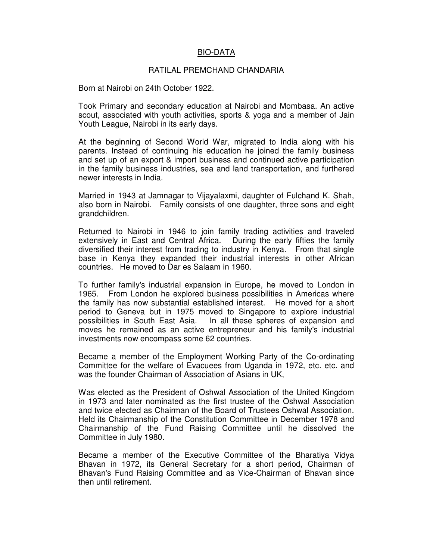## BIO-DATA

## RATILAL PREMCHAND CHANDARIA

Born at Nairobi on 24th October 1922.

Took Primary and secondary education at Nairobi and Mombasa. An active scout, associated with youth activities, sports & yoga and a member of Jain Youth League, Nairobi in its early days.

At the beginning of Second World War, migrated to India along with his parents. Instead of continuing his education he joined the family business and set up of an export & import business and continued active participation in the family business industries, sea and land transportation, and furthered newer interests in India.

Married in 1943 at Jamnagar to Vijayalaxmi, daughter of Fulchand K. Shah, also born in Nairobi. Family consists of one daughter, three sons and eight grandchildren.

Returned to Nairobi in 1946 to join family trading activities and traveled extensively in East and Central Africa. During the early fifties the family diversified their interest from trading to industry in Kenya. From that single base in Kenya they expanded their industrial interests in other African countries. He moved to Dar es Salaam in 1960.

To further family's industrial expansion in Europe, he moved to London in 1965. From London he explored business possibilities in Americas where the family has now substantial established interest. He moved for a short period to Geneva but in 1975 moved to Singapore to explore industrial possibilities in South East Asia. In all these spheres of expansion and moves he remained as an active entrepreneur and his family's industrial investments now encompass some 62 countries.

Became a member of the Employment Working Party of the Co-ordinating Committee for the welfare of Evacuees from Uganda in 1972, etc. etc. and was the founder Chairman of Association of Asians in UK,

Was elected as the President of Oshwal Association of the United Kingdom in 1973 and later nominated as the first trustee of the Oshwal Association and twice elected as Chairman of the Board of Trustees Oshwal Association. Held its Chairmanship of the Constitution Committee in December 1978 and Chairmanship of the Fund Raising Committee until he dissolved the Committee in July 1980.

Became a member of the Executive Committee of the Bharatiya Vidya Bhavan in 1972, its General Secretary for a short period, Chairman of Bhavan's Fund Raising Committee and as Vice-Chairman of Bhavan since then until retirement.